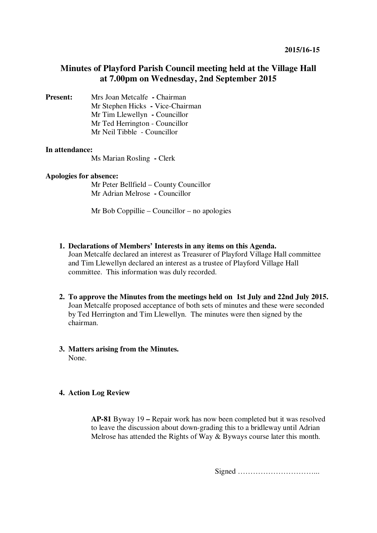# **Minutes of Playford Parish Council meeting held at the Village Hall at 7.00pm on Wednesday, 2nd September 2015**

**Present:** Mrs Joan Metcalfe **- Chairman** Mr Stephen Hicks **-** Vice-Chairman Mr Tim Llewellyn **-** Councillor Mr Ted Herrington - Councillor Mr Neil Tibble - Councillor

## **In attendance:**

Ms Marian Rosling **-** Clerk

### **Apologies for absence:**

Mr Peter Bellfield – County Councillor Mr Adrian Melrose **-** Councillor

Mr Bob Coppillie – Councillor – no apologies

- **1. Declarations of Members' Interests in any items on this Agenda.**  Joan Metcalfe declared an interest as Treasurer of Playford Village Hall committee and Tim Llewellyn declared an interest as a trustee of Playford Village Hall committee. This information was duly recorded.
- **2. To approve the Minutes from the meetings held on 1st July and 22nd July 2015.**  Joan Metcalfe proposed acceptance of both sets of minutes and these were seconded by Ted Herrington and Tim Llewellyn. The minutes were then signed by the chairman.

#### **3. Matters arising from the Minutes.**  None.

## **4. Action Log Review**

**AP-81** Byway 19 **–** Repair work has now been completed but it was resolved to leave the discussion about down-grading this to a bridleway until Adrian Melrose has attended the Rights of Way & Byways course later this month.

Signed …………………………...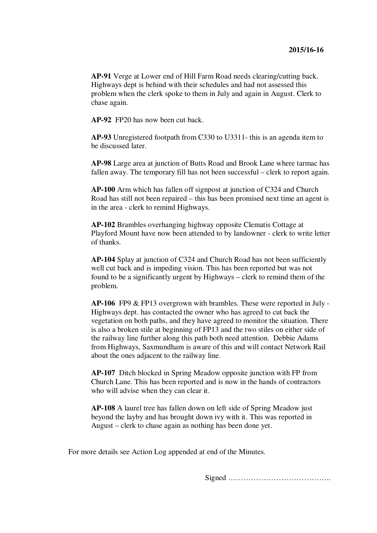**AP-91** Verge at Lower end of Hill Farm Road needs clearing/cutting back. Highways dept is behind with their schedules and had not assessed this problem when the clerk spoke to them in July and again in August. Clerk to chase again.

**AP-92** FP20 has now been cut back.

**AP-93** Unregistered footpath from C330 to U3311- this is an agenda item to be discussed later.

**AP-98** Large area at junction of Butts Road and Brook Lane where tarmac has fallen away. The temporary fill has not been successful – clerk to report again.

**AP-100** Arm which has fallen off signpost at junction of C324 and Church Road has still not been repaired – this has been promised next time an agent is in the area - clerk to remind Highways.

**AP-102** Brambles overhanging highway opposite Clematis Cottage at Playford Mount have now been attended to by landowner - clerk to write letter of thanks.

**AP-104** Splay at junction of C324 and Church Road has not been sufficiently well cut back and is impeding vision. This has been reported but was not found to be a significantly urgent by Highways – clerk to remind them of the problem.

**AP-106** FP9 & FP13 overgrown with brambles. These were reported in July - Highways dept. has contacted the owner who has agreed to cut back the vegetation on both paths, and they have agreed to monitor the situation. There is also a broken stile at beginning of FP13 and the two stiles on either side of the railway line further along this path both need attention. Debbie Adams from Highways, Saxmundham is aware of this and will contact Network Rail about the ones adjacent to the railway line.

**AP-107** Ditch blocked in Spring Meadow opposite junction with FP from Church Lane. This has been reported and is now in the hands of contractors who will advise when they can clear it.

**AP-108** A laurel tree has fallen down on left side of Spring Meadow just beyond the layby and has brought down ivy with it. This was reported in August – clerk to chase again as nothing has been done yet.

For more details see Action Log appended at end of the Minutes.

Signed …………………………………..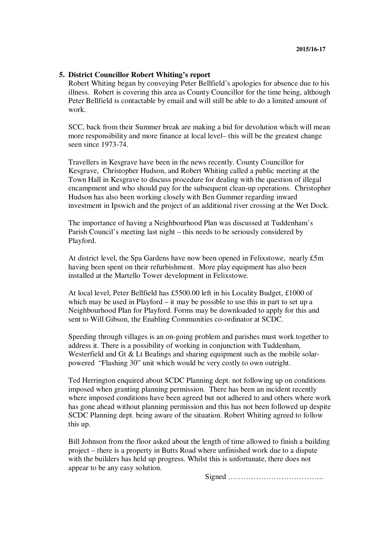### **5. District Councillor Robert Whiting's report**

Robert Whiting began by conveying Peter Bellfield's apologies for absence due to his illness. Robert is covering this area as County Councillor for the time being, although Peter Bellfield is contactable by email and will still be able to do a limited amount of work.

SCC, back from their Summer break are making a bid for devolution which will mean more responsibility and more finance at local level– this will be the greatest change seen since 1973-74.

Travellers in Kesgrave have been in the news recently. County Councillor for Kesgrave, Christopher Hudson, and Robert Whiting called a public meeting at the Town Hall in Kesgrave to discuss procedure for dealing with the question of illegal encampment and who should pay for the subsequent clean-up operations. Christopher Hudson has also been working closely with Ben Gummer regarding inward investment in Ipswich and the project of an additional river crossing at the Wet Dock.

The importance of having a Neighbourhood Plan was discussed at Tuddenham's Parish Council's meeting last night – this needs to be seriously considered by Playford.

At district level, the Spa Gardens have now been opened in Felixstowe, nearly £5m having been spent on their refurbishment. More play equipment has also been installed at the Martello Tower development in Felixstowe.

At local level, Peter Bellfield has £5500.00 left in his Locality Budget, £1000 of which may be used in Playford – it may be possible to use this in part to set up a Neighbourhood Plan for Playford. Forms may be downloaded to apply for this and sent to Will Gibson, the Enabling Communities co-ordinator at SCDC.

Speeding through villages is an on-going problem and parishes must work together to address it. There is a possibility of working in conjunction with Tuddenham, Westerfield and Gt & Lt Bealings and sharing equipment such as the mobile solarpowered "Flashing 30" unit which would be very costly to own outright.

Ted Herrington enquired about SCDC Planning dept. not following up on conditions imposed when granting planning permission. There has been an incident recently where imposed conditions have been agreed but not adhered to and others where work has gone ahead without planning permission and this has not been followed up despite SCDC Planning dept. being aware of the situation. Robert Whiting agreed to follow this up.

Bill Johnson from the floor asked about the length of time allowed to finish a building project – there is a property in Butts Road where unfinished work due to a dispute with the builders has held up progress. Whilst this is unfortunate, there does not appear to be any easy solution.

Signed ………………………………..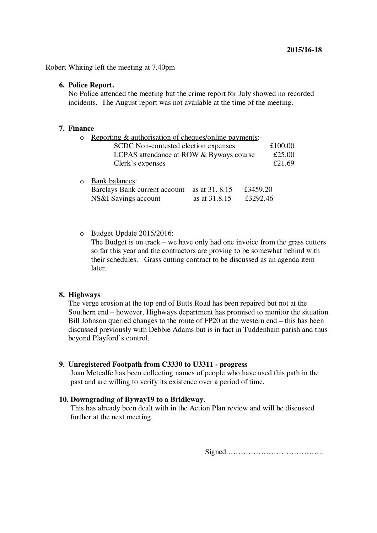Robert Whiting left the meeting at 7.40pm

### **6. Police Report.**

No Police attended the meeting but the crime report for July showed no recorded incidents. The August report was not available at the time of the meeting.

### **7. Finance**

| Reporting & authorisation of cheques/online payments:- |                |          |         |
|--------------------------------------------------------|----------------|----------|---------|
| SCDC Non-contested election expenses                   |                |          | £100.00 |
| LCPAS attendance at ROW & Byways course                |                |          | £25.00  |
| Clerk's expenses                                       |                |          | £21.69  |
|                                                        |                |          |         |
| <b>Bank balances:</b>                                  |                |          |         |
| Barclays Bank current account                          | as at 31, 8.15 | £3459.20 |         |
| NS&I Savings account                                   | as at 31.8.15  | £3292.46 |         |

o Budget Update 2015/2016:

The Budget is on track – we have only had one invoice from the grass cutters so far this year and the contractors are proving to be somewhat behind with their schedules. Grass cutting contract to be discussed as an agenda item later.

### **8. Highways**

The verge erosion at the top end of Butts Road has been repaired but not at the Southern end – however, Highways department has promised to monitor the situation. Bill Johnson queried changes to the route of FP20 at the western end – this has been discussed previously with Debbie Adams but is in fact in Tuddenham parish and thus beyond Playford's control.

## **9. Unregistered Footpath from C3330 to U3311 - progress**

Joan Metcalfe has been collecting names of people who have used this path in the past and are willing to verify its existence over a period of time.

## **10. Downgrading of Byway19 to a Bridleway.**

This has already been dealt with in the Action Plan review and will be discussed further at the next meeting.

Signed ………………………………..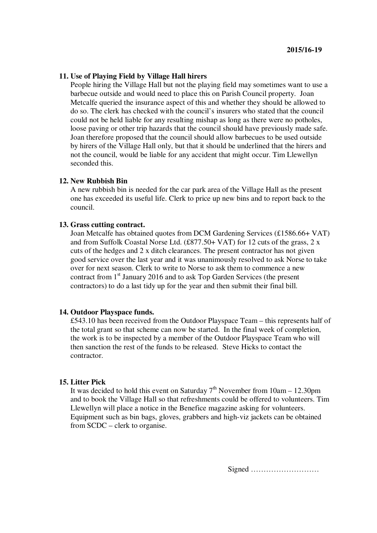### **11. Use of Playing Field by Village Hall hirers**

People hiring the Village Hall but not the playing field may sometimes want to use a barbecue outside and would need to place this on Parish Council property. Joan Metcalfe queried the insurance aspect of this and whether they should be allowed to do so. The clerk has checked with the council's insurers who stated that the council could not be held liable for any resulting mishap as long as there were no potholes, loose paving or other trip hazards that the council should have previously made safe. Joan therefore proposed that the council should allow barbecues to be used outside by hirers of the Village Hall only, but that it should be underlined that the hirers and not the council, would be liable for any accident that might occur. Tim Llewellyn seconded this.

#### **12. New Rubbish Bin**

A new rubbish bin is needed for the car park area of the Village Hall as the present one has exceeded its useful life. Clerk to price up new bins and to report back to the council.

### **13. Grass cutting contract.**

Joan Metcalfe has obtained quotes from DCM Gardening Services (£1586.66+ VAT) and from Suffolk Coastal Norse Ltd. (£877.50+ VAT) for 12 cuts of the grass, 2 x cuts of the hedges and 2 x ditch clearances. The present contractor has not given good service over the last year and it was unanimously resolved to ask Norse to take over for next season. Clerk to write to Norse to ask them to commence a new contract from 1<sup>st</sup> January 2016 and to ask Top Garden Services (the present contractors) to do a last tidy up for the year and then submit their final bill.

#### **14. Outdoor Playspace funds.**

£543.10 has been received from the Outdoor Playspace Team – this represents half of the total grant so that scheme can now be started. In the final week of completion, the work is to be inspected by a member of the Outdoor Playspace Team who will then sanction the rest of the funds to be released. Steve Hicks to contact the contractor.

#### **15. Litter Pick**

It was decided to hold this event on Saturday  $7<sup>th</sup>$  November from  $10am - 12.30pm$ and to book the Village Hall so that refreshments could be offered to volunteers. Tim Llewellyn will place a notice in the Benefice magazine asking for volunteers. Equipment such as bin bags, gloves, grabbers and high-viz jackets can be obtained from SCDC – clerk to organise.

Signed ………………………